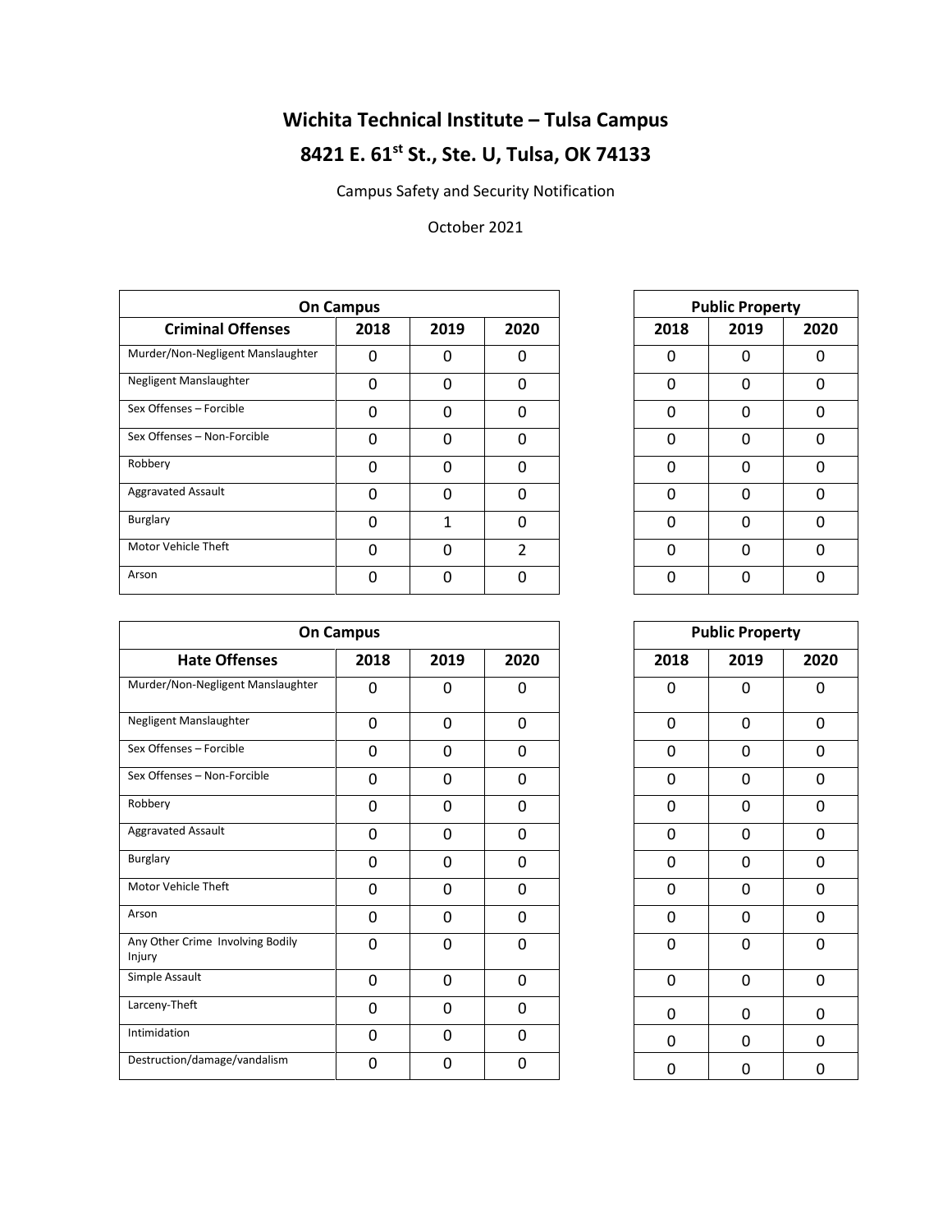## **Wichita Technical Institute – Tulsa Campus 8421 E. 61st St., Ste. U, Tulsa, OK 74133**

Campus Safety and Security Notification

## October 2021

| <b>On Campus</b>                  |          |      |          |  |
|-----------------------------------|----------|------|----------|--|
| <b>Criminal Offenses</b>          | 2018     | 2019 | 2020     |  |
| Murder/Non-Negligent Manslaughter | $\Omega$ | 0    | ∩        |  |
| Negligent Manslaughter            | 0        | 0    | $\Omega$ |  |
| Sex Offenses - Forcible           | 0        | 0    | $\Omega$ |  |
| Sex Offenses - Non-Forcible       | 0        | 0    | O        |  |
| Robbery                           | $\Omega$ | 0    | $\Omega$ |  |
| <b>Aggravated Assault</b>         | $\Omega$ | 0    | ∩        |  |
| Burglary                          | 0        |      | $\Omega$ |  |
| Motor Vehicle Theft               | $\Omega$ | 0    | っ        |  |
| Arson                             | U        | ი    |          |  |

| <b>Public Property</b> |      |      |  |  |  |  |  |
|------------------------|------|------|--|--|--|--|--|
| 2018                   | 2019 | 2020 |  |  |  |  |  |
| 0                      | 0    | 0    |  |  |  |  |  |
| 0                      | 0    | 0    |  |  |  |  |  |
| 0                      | 0    | 0    |  |  |  |  |  |
| 0                      | 0    | 0    |  |  |  |  |  |
| 0                      | 0    | 0    |  |  |  |  |  |
| 0                      | 0    | 0    |  |  |  |  |  |
| 0                      | 0    | 0    |  |  |  |  |  |
| 0                      | 0    | 0    |  |  |  |  |  |
| 0                      | n    | ი    |  |  |  |  |  |

| <b>On Campus</b>                           |             |      |              |  |             | <b>Public Property</b> |              |
|--------------------------------------------|-------------|------|--------------|--|-------------|------------------------|--------------|
| <b>Hate Offenses</b>                       | 2018        | 2019 | 2020         |  | 2018        | 2019                   | 2020         |
| Murder/Non-Negligent Manslaughter          | 0           | 0    | 0            |  | $\mathbf 0$ | 0                      | 0            |
| Negligent Manslaughter                     | $\mathbf 0$ | 0    | $\mathbf 0$  |  | $\mathbf 0$ | 0                      | 0            |
| Sex Offenses - Forcible                    | 0           | 0    | 0            |  | $\Omega$    | $\Omega$               | 0            |
| Sex Offenses - Non-Forcible                | $\mathbf 0$ | 0    | $\mathbf 0$  |  | 0           | 0                      | 0            |
| Robbery                                    | 0           | 0    | 0            |  | 0           | 0                      | 0            |
| <b>Aggravated Assault</b>                  | $\Omega$    | 0    | $\Omega$     |  | $\Omega$    | 0                      | $\Omega$     |
| Burglary                                   | 0           | 0    | $\mathbf 0$  |  | 0           | 0                      | 0            |
| Motor Vehicle Theft                        | 0           | 0    | $\mathbf{0}$ |  | 0           | 0                      | 0            |
| Arson                                      | $\mathbf 0$ | 0    | $\mathbf 0$  |  | 0           | $\Omega$               | 0            |
| Any Other Crime Involving Bodily<br>Injury | $\mathbf 0$ | 0    | 0            |  | 0           | 0                      | 0            |
| Simple Assault                             | $\mathbf 0$ | 0    | 0            |  | $\Omega$    | 0                      | $\mathbf{0}$ |
| Larceny-Theft                              | 0           | 0    | $\mathbf{0}$ |  | 0           | 0                      | 0            |
| Intimidation                               | 0           | 0    | $\mathbf 0$  |  | 0           | 0                      | 0            |
| Destruction/damage/vandalism               | $\mathbf 0$ | 0    | $\mathbf{0}$ |  | 0           | 0                      | 0            |

| JS             |             |      |             | <b>Public Property</b> |             |
|----------------|-------------|------|-------------|------------------------|-------------|
| )18            | 2019        | 2020 | 2018        | 2019                   | 2020        |
| 0              | 0           | 0    | 0           | 0                      | 0           |
| $\overline{0}$ | 0           | 0    | 0           | 0                      | 0           |
| $\overline{0}$ | $\mathbf 0$ | 0    | $\mathbf 0$ | 0                      | 0           |
| $\overline{0}$ | 0           | 0    | 0           | 0                      | 0           |
| 0              | 0           | 0    | 0           | 0                      | 0           |
| 0              | 0           | 0    | 0           | 0                      | 0           |
| 0              | 0           | 0    | 0           | 0                      | 0           |
| 0              | $\mathbf 0$ | 0    | $\mathbf 0$ | $\mathbf 0$            | $\mathbf 0$ |
| $\overline{0}$ | 0           | 0    | 0           | 0                      | 0           |
| 0              | 0           | 0    | 0           | 0                      | 0           |
| $\overline{0}$ | 0           | 0    | 0           | 0                      | 0           |
| 0              | 0           | 0    | 0           | 0                      | 0           |
| 0              | 0           | 0    | 0           | 0                      | 0           |
| 0              | 0           | 0    | 0           | 0                      | 0           |